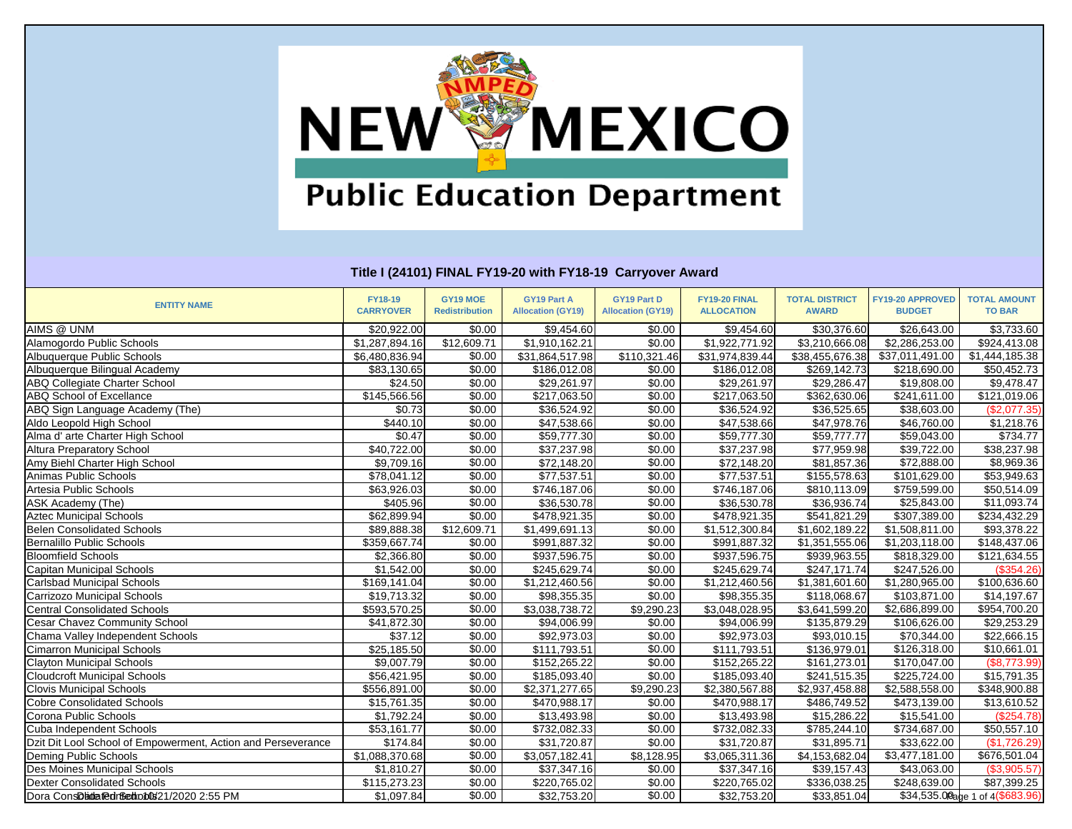

| <b>ENTITY NAME</b>                                           | <b>FY18-19</b><br><b>CARRYOVER</b> | GY19 MOE<br><b>Redistribution</b> | <b>GY19 Part A</b><br><b>Allocation (GY19)</b> | <b>GY19 Part D</b><br><b>Allocation (GY19)</b> | FY19-20 FINAL<br><b>ALLOCATION</b> | <b>TOTAL DISTRICT</b><br><b>AWARD</b> | FY19-20 APPROVED<br><b>BUDGET</b> | <b>TOTAL AMOUNT</b><br><b>TO BAR</b> |
|--------------------------------------------------------------|------------------------------------|-----------------------------------|------------------------------------------------|------------------------------------------------|------------------------------------|---------------------------------------|-----------------------------------|--------------------------------------|
| AIMS @ UNM                                                   | \$20,922.00                        | \$0.00                            | \$9,454.60                                     | \$0.00                                         | \$9,454.60                         | \$30,376.60                           | \$26,643.00                       | \$3,733.60                           |
| Alamogordo Public Schools                                    | \$1,287,894.16                     | \$12,609.71                       | \$1,910,162.21                                 | \$0.00                                         | \$1,922,771.92                     | \$3,210,666.08                        | \$2,286,253.00                    | \$924,413.08                         |
| Albuquerque Public Schools                                   | \$6,480,836.94                     | \$0.00                            | \$31,864,517.98                                | \$110,321.46                                   | \$31,974,839.44                    | \$38,455,676.38                       | \$37,011,491.00                   | \$1,444,185.38                       |
| Albuquerque Bilingual Academy                                | \$83,130.65                        | \$0.00                            | \$186,012.08                                   | \$0.00                                         | \$186,012.08                       | \$269,142.73                          | \$218,690.00                      | \$50,452.73                          |
| <b>ABQ Collegiate Charter School</b>                         | $\overline{$}24.50$                | \$0.00                            | \$29,261.97                                    | \$0.00                                         | \$29,261.97                        | \$29,286.47                           | \$19,808.00                       | \$9,478.47                           |
| <b>ABQ School of Excellance</b>                              | \$145,566.56                       | \$0.00                            | \$217,063.50                                   | \$0.00                                         | \$217,063.50                       | \$362,630.06                          | \$241,611.00                      | \$121,019.06                         |
| ABQ Sign Language Academy (The)                              | \$0.73                             | \$0.00                            | \$36,524.92                                    | \$0.00                                         | \$36,524.92                        | \$36,525.65                           | \$38,603.00                       | (\$2,077.35)                         |
| Aldo Leopold High School                                     | \$440.10                           | \$0.00                            | \$47,538.66                                    | \$0.00                                         | \$47,538.66                        | \$47,978.76                           | \$46,760.00                       | \$1,218.76                           |
| Alma d' arte Charter High School                             | \$0.47                             | \$0.00                            | \$59,777.30                                    | \$0.00                                         | \$59,777.30                        | \$59,777.77                           | \$59,043.00                       | \$734.77                             |
| <b>Altura Preparatory School</b>                             | \$40,722.00                        | \$0.00                            | \$37,237.98                                    | \$0.00                                         | \$37,237.98                        | \$77,959.98                           | \$39,722.00                       | \$38,237.98                          |
| Amy Biehl Charter High School                                | \$9,709.16                         | \$0.00                            | \$72,148.20                                    | \$0.00                                         | \$72,148.20                        | \$81,857.36                           | $\overline{$}72,888.00$           | \$8,969.36                           |
| Animas Public Schools                                        | \$78,041.12                        | \$0.00                            | \$77,537.51                                    | \$0.00                                         | \$77,537.51                        | \$155,578.63                          | \$101,629.00                      | \$53,949.63                          |
| Artesia Public Schools                                       | \$63,926.03                        | \$0.00                            | \$746,187.06                                   | \$0.00                                         | \$746,187.06                       | \$810,113.09                          | \$759,599.00                      | \$50,514.09                          |
| ASK Academy (The)                                            | \$405.96                           | \$0.00                            | \$36,530.78                                    | \$0.00                                         | \$36,530.78                        | \$36,936.74                           | \$25,843.00                       | \$11,093.74                          |
| <b>Aztec Municipal Schools</b>                               | \$62,899.94                        | \$0.00                            | \$478,921.35                                   | \$0.00                                         | \$478,921.35                       | \$541,821.29                          | \$307,389.00                      | \$234,432.29                         |
| <b>Belen Consolidated Schools</b>                            | \$89,888.38                        | \$12,609.71                       | \$1,499,691.13                                 | \$0.00                                         | \$1,512,300.84                     | \$1,602,189.22                        | \$1,508,811.00                    | \$93,378.22                          |
| Bernalillo Public Schools                                    | \$359,667.74                       | \$0.00                            | \$991,887.32                                   | \$0.00                                         | \$991,887.32                       | \$1,351,555.06                        | \$1,203,118.00                    | \$148,437.06                         |
| <b>Bloomfield Schools</b>                                    | \$2,366.80                         | \$0.00                            | \$937,596.75                                   | \$0.00                                         | \$937,596.75                       | \$939,963.55                          | \$818,329.00                      | \$121,634.55                         |
| Capitan Municipal Schools                                    | \$1,542.00                         | \$0.00                            | \$245,629.74                                   | \$0.00                                         | \$245,629.74                       | \$247,171.74                          | \$247,526.00                      | (\$354.26)                           |
| <b>Carlsbad Municipal Schools</b>                            | \$169,141.04                       | \$0.00                            | \$1,212,460.56                                 | \$0.00                                         | \$1,212,460.56                     | \$1,381,601.60                        | \$1,280,965.00                    | $\overline{$}100,636.60$             |
| Carrizozo Municipal Schools                                  | \$19,713.32                        | \$0.00                            | \$98,355.35                                    | \$0.00                                         | \$98,355.35                        | \$118,068.67                          | \$103,871.00                      | \$14,197.67                          |
| <b>Central Consolidated Schools</b>                          | \$593,570.25                       | \$0.00                            | \$3,038,738.72                                 | \$9,290.23                                     | \$3,048,028.95                     | \$3,641,599.20                        | \$2,686,899.00                    | \$954,700.20                         |
| <b>Cesar Chavez Community School</b>                         | \$41,872.30                        | \$0.00                            | \$94,006.99                                    | \$0.00                                         | \$94,006.99                        | \$135,879.29                          | \$106,626.00                      | \$29,253.29                          |
| Chama Valley Independent Schools                             | \$37.12                            | \$0.00                            | \$92,973.03                                    | \$0.00                                         | \$92,973.03                        | \$93,010.15                           | \$70,344.00                       | \$22,666.15                          |
| <b>Cimarron Municipal Schools</b>                            | \$25,185.50                        | \$0.00                            | \$111,793.51                                   | \$0.00                                         | \$111,793.51                       | \$136,979.01                          | \$126,318.00                      | \$10,661.01                          |
| <b>Clayton Municipal Schools</b>                             | \$9,007.79                         | \$0.00                            | \$152,265.22                                   | \$0.00                                         | \$152,265.22                       | $\overline{$161,273.01}$              | $\sqrt{$170,047.00}$              | (\$8,773.99)                         |
| <b>Cloudcroft Municipal Schools</b>                          | \$56,421.95                        | \$0.00                            | \$185,093.40                                   | \$0.00                                         | \$185,093.40                       | \$241,515.35                          | \$225,724.00                      | \$15,791.35                          |
| <b>Clovis Municipal Schools</b>                              | \$556,891.00                       | \$0.00                            | \$2,371,277.65                                 | \$9,290.23                                     | \$2,380,567.88                     | \$2,937,458.88                        | \$2,588,558.00                    | \$348,900.88                         |
| <b>Cobre Consolidated Schools</b>                            | \$15,761.35                        | \$0.00                            | \$470,988.17                                   | \$0.00                                         | \$470,988.17                       | \$486,749.52                          | \$473,139.00                      | \$13,610.52                          |
| Corona Public Schools                                        | \$1,792.24                         | \$0.00                            | \$13,493.98                                    | \$0.00                                         | $\overline{$}13,493.98$            | \$15,286.22                           | \$15,541.00                       | (\$254.78)                           |
| Cuba Independent Schools                                     | \$53,161.77                        | \$0.00                            | \$732,082.33                                   | \$0.00                                         | \$732,082.33                       | \$785,244.10                          | \$734,687.00                      | $\overline{$50,557.10}$              |
| Dzit Dit Lool School of Empowerment, Action and Perseverance | $\overline{$}174.84$               | \$0.00                            | \$31,720.87                                    | \$0.00                                         | \$31,720.87                        | \$31,895.71                           | \$33,622.00                       | (\$1,726.29)                         |
| Deming Public Schools                                        | \$1,088,370.68                     | \$0.00                            | \$3,057,182.41                                 | \$8,128.95                                     | \$3,065,311.36                     | \$4,153,682.04                        | \$3,477,181.00                    | \$676,501.04                         |
| Des Moines Municipal Schools                                 | \$1,810.27                         | \$0.00                            | \$37,347.16                                    | \$0.00                                         | \$37,347.16                        | \$39,157.43                           | \$43,063.00                       | (\$3,905.57)                         |
| <b>Dexter Consolidated Schools</b>                           | \$115,273.23                       | \$0.00                            | \$220,765.02                                   | \$0.00                                         | \$220,765.02                       | \$336,038.25                          | \$248,639.00                      | \$87,399.25                          |
| Dora ConsDiada @drfedoto0s/21/2020 2:55 PM                   | \$1,097.84                         | \$0.00                            | \$32,753.20                                    | \$0.00                                         | \$32,753.20                        | \$33,851.04                           |                                   | \$34,535.00age 1 of 4(\$683.96)      |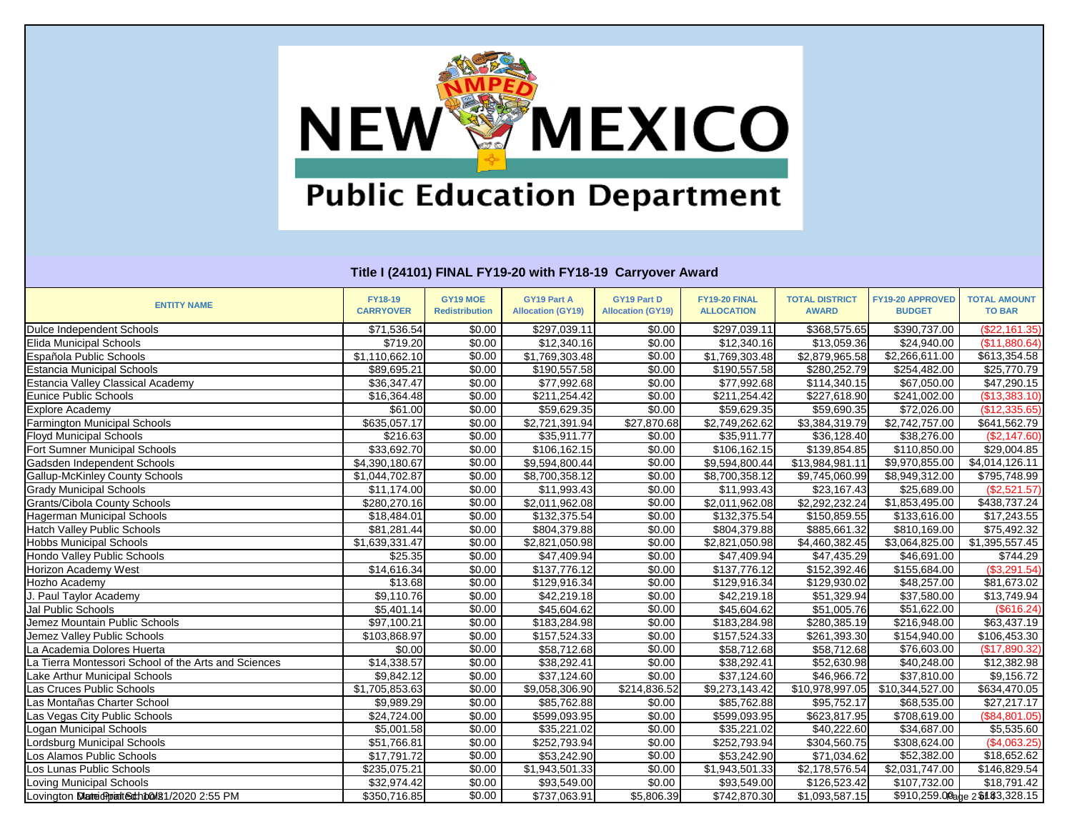

| <b>ENTITY NAME</b>                                   | <b>FY18-19</b><br><b>CARRYOVER</b> | GY19 MOE<br><b>Redistribution</b> | <b>GY19 Part A</b><br><b>Allocation (GY19)</b> | <b>GY19 Part D</b><br><b>Allocation (GY19)</b> | FY19-20 FINAL<br><b>ALLOCATION</b> | <b>TOTAL DISTRICT</b><br><b>AWARD</b> | FY19-20 APPROVED<br><b>BUDGET</b> | <b>TOTAL AMOUNT</b><br><b>TO BAR</b> |
|------------------------------------------------------|------------------------------------|-----------------------------------|------------------------------------------------|------------------------------------------------|------------------------------------|---------------------------------------|-----------------------------------|--------------------------------------|
| Dulce Independent Schools                            | \$71,536.54                        | \$0.00                            | \$297,039.11                                   | \$0.00                                         | \$297,039.11                       | \$368,575.65                          | \$390,737.00                      | (\$22,161.35)                        |
| <b>Elida Municipal Schools</b>                       | \$719.20                           | \$0.00                            | \$12,340.16                                    | \$0.00                                         | \$12,340.16                        | \$13,059.36                           | \$24,940.00                       | (\$11,880.64)                        |
| Española Public Schools                              | \$1,110,662.10                     | \$0.00                            | \$1,769,303.48                                 | \$0.00                                         | \$1,769,303.48                     | $\overline{$2,879,965.58}$            | \$2,266,611.00                    | \$613,354.58                         |
| <b>Estancia Municipal Schools</b>                    | \$89,695.21                        | \$0.00                            | \$190,557.58                                   | \$0.00                                         | \$190,557.58                       | \$280,252.79                          | \$254,482.00                      | \$25,770.79                          |
| <b>Estancia Valley Classical Academy</b>             | \$36,347.47                        | \$0.00                            | \$77,992.68                                    | \$0.00                                         | \$77,992.68                        | \$114,340.15                          | \$67,050.00                       | \$47,290.15                          |
| Eunice Public Schools                                | \$16,364.48                        | \$0.00                            | \$211,254.42                                   | \$0.00                                         | \$211,254.42                       | \$227,618.90                          | \$241,002.00                      | (\$13,383.10)                        |
| <b>Explore Academy</b>                               | \$61.00                            | \$0.00                            | \$59,629.35                                    | \$0.00                                         | \$59,629.35                        | \$59,690.35                           | \$72,026.00                       | (\$12,335.65)                        |
| <b>Farmington Municipal Schools</b>                  | \$635,057.17                       | \$0.00                            | \$2,721,391.94                                 | \$27,870.68                                    | \$2,749,262.62                     | \$3,384,319.79                        | $\overline{$2,742,757.00}$        | \$641,562.79                         |
| <b>Floyd Municipal Schools</b>                       | \$216.63                           | \$0.00                            | \$35,911.77                                    | \$0.00                                         | \$35,911.77                        | \$36,128.40                           | \$38,276.00                       | (\$2,147.60)                         |
| Fort Sumner Municipal Schools                        | \$33,692.70                        | \$0.00                            | \$106,162.15                                   | \$0.00                                         | \$106,162.15                       | \$139,854.85                          | \$110,850.00                      | \$29,004.85                          |
| Gadsden Independent Schools                          | $\sqrt{4,390,180.67}$              | \$0.00                            | \$9,594,800.44                                 | \$0.00                                         | \$9,594,800.44                     | \$13,984,981.11                       | $\overline{$9,970,855.00}$        | \$4,014,126.11                       |
| <b>Gallup-McKinley County Schools</b>                | $\overline{\$1,044,702.87}$        | \$0.00                            | \$8,700,358.12                                 | \$0.00                                         | $\overline{$8,700,358.12}$         | \$9,745,060.99                        | \$8,949,312.00                    | \$795,748.99                         |
| <b>Grady Municipal Schools</b>                       | \$11,174.00                        | \$0.00                            | \$11,993.43                                    | \$0.00                                         | \$11,993.43                        | \$23,167.43                           | \$25,689.00                       | (\$2,521.57)                         |
| <b>Grants/Cibola County Schools</b>                  | \$280,270.16                       | \$0.00                            | \$2,011,962.08                                 | \$0.00                                         | \$2,011,962.08                     | $\overline{$2,292,232.24}$            | $\overline{\$1,853,495.00}$       | \$438,737.24                         |
| <b>Hagerman Municipal Schools</b>                    | \$18,484.01                        | \$0.00                            | \$132,375.54                                   | \$0.00                                         | \$132,375.54                       | \$150,859.55                          | \$133,616.00                      | \$17,243.55                          |
| <b>Hatch Valley Public Schools</b>                   | \$81,281.44                        | \$0.00                            | \$804,379.88                                   | \$0.00                                         | \$804,379.88                       | \$885,661.32                          | \$810,169.00                      | \$75,492.32                          |
| <b>Hobbs Municipal Schools</b>                       | \$1,639,331.47                     | \$0.00                            | \$2,821,050.98                                 | \$0.00                                         | \$2,821,050.98                     | \$4,460,382.45                        | \$3,064,825.00                    | \$1,395,557.45                       |
| <b>Hondo Valley Public Schools</b>                   | \$25.35                            | \$0.00                            | \$47,409.94                                    | \$0.00                                         | $\overline{$}47,409.94$            | \$47,435.29                           | \$46,691.00                       | \$744.29                             |
| Horizon Academy West                                 | \$14,616.34                        | \$0.00                            | \$137,776.12                                   | \$0.00                                         | \$137,776.12                       | \$152,392.46                          | \$155,684.00                      | (\$3,291.54)                         |
| Hozho Academy                                        | \$13.68                            | \$0.00                            | \$129,916.34                                   | \$0.00                                         | \$129,916.34                       | \$129,930.02                          | \$48,257.00                       | \$81,673.02                          |
| J. Paul Taylor Academy                               | \$9,110.76                         | \$0.00                            | \$42,219.18                                    | \$0.00                                         | \$42,219.18                        | \$51,329.94                           | \$37,580.00                       | $\sqrt{$13,749.94}$                  |
| Jal Public Schools                                   | \$5,401.14                         | \$0.00                            | \$45,604.62                                    | \$0.00                                         | \$45,604.62                        | \$51,005.76                           | \$51,622.00                       | (\$616.24)                           |
| Jemez Mountain Public Schools                        | $\overline{$97,100.21}$            | \$0.00                            | \$183,284.98                                   | \$0.00                                         | \$183,284.98                       | \$280,385.19                          | \$216,948.00                      | \$63,437.19                          |
| Jemez Valley Public Schools                          | \$103,868.97                       | \$0.00                            | \$157,524.33                                   | \$0.00                                         | \$157,524.33                       | \$261,393.30                          | \$154,940.00                      | \$106,453.30                         |
| La Academia Dolores Huerta                           | \$0.00                             | \$0.00                            | \$58,712.68                                    | \$0.00                                         | \$58,712.68                        | \$58,712.68                           | \$76,603.00                       | (\$17,890.32)                        |
| La Tierra Montessori School of the Arts and Sciences | \$14,338.57                        | \$0.00                            | \$38,292.41                                    | \$0.00                                         | \$38,292.41                        | \$52,630.98                           | \$40,248.00                       | \$12,382.98                          |
| <b>Lake Arthur Municipal Schools</b>                 | \$9,842.12                         | \$0.00                            | \$37,124.60                                    | \$0.00                                         | \$37,124.60                        | \$46,966.72                           | \$37,810.00                       | \$9,156.72                           |
| Las Cruces Public Schools                            | \$1,705,853.63                     | \$0.00                            | \$9,058,306.90                                 | \$214,836.52                                   | \$9,273,143.42                     | \$10,978,997.05                       | \$10,344,527.00                   | \$634,470.05                         |
| as Montañas Charter School                           | \$9,989.29                         | \$0.00                            | \$85,762.88                                    | \$0.00                                         | \$85,762.88                        | \$95,752.17                           | \$68,535.00                       | \$27,217.17                          |
| as Vegas City Public Schools                         | \$24,724.00                        | \$0.00                            | \$599,093.95                                   | \$0.00                                         | \$599,093.95                       | \$623,817.95                          | \$708,619.00                      | (\$84,801.05)                        |
| ogan Municipal Schools                               | \$5,001.58                         | \$0.00                            | \$35,221.02                                    | \$0.00                                         | \$35,221.02                        | \$40,222.60                           | \$34,687.00                       | \$5,535.60                           |
| ordsburg Municipal Schools                           | \$51,766.81                        | \$0.00                            | \$252,793.94                                   | \$0.00                                         | \$252,793.94                       | \$304,560.75                          | \$308,624.00                      | (\$4,063.25)                         |
| Los Alamos Public Schools                            | \$17,791.72                        | \$0.00                            | \$53,242.90                                    | \$0.00                                         | \$53,242.90                        | \$71,034.62                           | \$52,382.00                       | \$18,652.62                          |
| Los Lunas Public Schools                             | \$235,075.21                       | \$0.00                            | \$1,943,501.33                                 | \$0.00                                         | \$1,943,501.33                     | \$2,178,576.54                        | \$2,031,747.00                    | \$146,829.54                         |
| Loving Municipal Schools                             | \$32,974.42                        | \$0.00                            | \$93,549.00                                    | \$0.00                                         | \$93,549.00                        | \$126,523.42                          | \$107,732.00                      | \$18,791.42                          |
| Lovington Mateic Pointechton 81/2020 2:55 PM         | \$350,716.85                       | \$0.00                            | \$737,063.91                                   | \$5,806.39                                     | \$742,870.30                       | \$1,093,587.15                        |                                   | \$910,259.00age 2\$183,328.15        |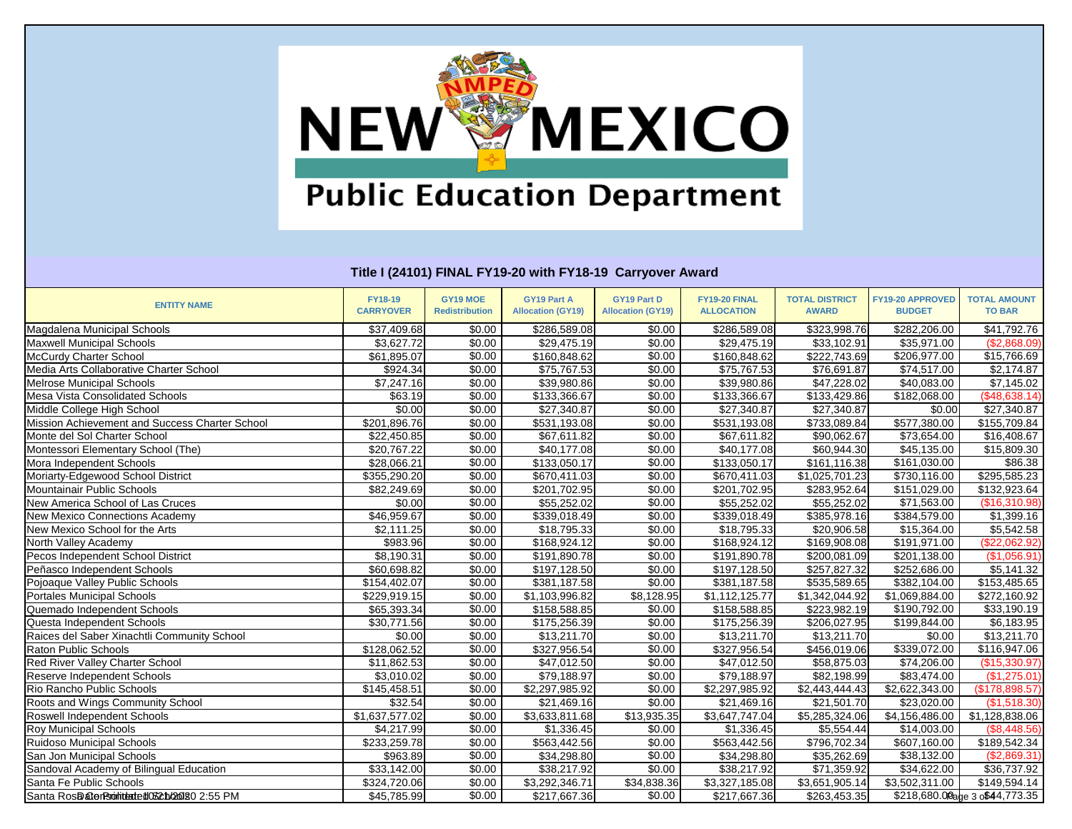

| <b>ENTITY NAME</b>                             | <b>FY18-19</b><br><b>CARRYOVER</b> | GY19 MOE<br><b>Redistribution</b> | <b>GY19 Part A</b><br><b>Allocation (GY19)</b> | <b>GY19 Part D</b><br><b>Allocation (GY19)</b> | FY19-20 FINAL<br><b>ALLOCATION</b> | <b>TOTAL DISTRICT</b><br><b>AWARD</b> | FY19-20 APPROVED<br><b>BUDGET</b> | <b>TOTAL AMOUNT</b><br><b>TO BAR</b> |
|------------------------------------------------|------------------------------------|-----------------------------------|------------------------------------------------|------------------------------------------------|------------------------------------|---------------------------------------|-----------------------------------|--------------------------------------|
| Magdalena Municipal Schools                    | \$37,409.68                        | \$0.00                            | \$286,589.08                                   | \$0.00                                         | \$286,589.08                       | \$323,998.76                          | \$282,206.00                      | $\overline{$41,792.76}$              |
| <b>Maxwell Municipal Schools</b>               | \$3,627.72                         | \$0.00                            | \$29,475.19                                    | \$0.00                                         | \$29,475.19                        | \$33,102.91                           | \$35,971.00                       | (\$2,868.09)                         |
| McCurdy Charter School                         | \$61,895.07                        | \$0.00                            | \$160,848.62                                   | \$0.00                                         | \$160,848.62                       | \$222,743.69                          | \$206,977.00                      | \$15,766.69                          |
| Media Arts Collaborative Charter School        | \$924.34                           | \$0.00                            | \$75,767.53                                    | \$0.00                                         | \$75,767.53                        | \$76,691.87                           | \$74,517.00                       | \$2,174.87                           |
| <b>Melrose Municipal Schools</b>               | \$7,247.16                         | \$0.00                            | \$39,980.86                                    | \$0.00                                         | \$39,980.86                        | \$47,228.02                           | \$40,083.00                       | \$7,145.02                           |
| <b>Mesa Vista Consolidated Schools</b>         | \$63.19                            | \$0.00                            | \$133,366.67                                   | \$0.00                                         | \$133,366.67                       | \$133,429.86                          | \$182,068.00                      | (\$48,638.14)                        |
| Middle College High School                     | $\sqrt{$0.00}$                     | \$0.00                            | \$27,340.87                                    | \$0.00                                         | \$27,340.87                        | \$27,340.87                           | \$0.00                            | \$27,340.87                          |
| Mission Achievement and Success Charter School | \$201,896.76                       | \$0.00                            | \$531,193.08                                   | \$0.00                                         | \$531,193.08                       | \$733,089.84                          | \$577,380.00                      | \$155,709.84                         |
| Monte del Sol Charter School                   | \$22,450.85                        | \$0.00                            | \$67,611.82                                    | $\sqrt{$0.00}$                                 | \$67,611.82                        | \$90,062.67                           | \$73,654.00                       | \$16,408.67                          |
| Montessori Elementary School (The)             | \$20,767.22                        | \$0.00                            | \$40,177.08                                    | \$0.00                                         | \$40,177.08                        | \$60,944.30                           | \$45,135.00                       | \$15,809.30                          |
| Mora Independent Schools                       | \$28,066.21                        | \$0.00                            | \$133,050.17                                   | \$0.00                                         | \$133,050.17                       | \$161,116.38                          | \$161,030.00                      | \$86.38                              |
| Moriarty-Edgewood School District              | $\overline{$355,290.20}$           | \$0.00                            | \$670,411.03                                   | \$0.00                                         | $\overline{$670,411.03}$           | \$1,025,701.23                        | \$730,116.00                      | \$295,585.23                         |
| Mountainair Public Schools                     | \$82,249.69                        | \$0.00                            | \$201,702.95                                   | \$0.00                                         | \$201,702.95                       | \$283,952.64                          | \$151,029.00                      | \$132,923.64                         |
| New America School of Las Cruces               | \$0.00                             | \$0.00                            | \$55,252.02                                    | \$0.00                                         | \$55,252.02                        | \$55,252.02                           | \$71,563.00                       | (\$16,310.98)                        |
| <b>New Mexico Connections Academy</b>          | \$46,959.67                        | \$0.00                            | \$339,018.49                                   | \$0.00                                         | \$339,018.49                       | \$385,978.16                          | \$384,579.00                      | \$1,399.16                           |
| New Mexico School for the Arts                 | \$2,111.25                         | \$0.00                            | \$18,795.33                                    | \$0.00                                         | \$18,795.33                        | \$20,906.58                           | \$15,364.00                       | \$5,542.58                           |
| North Valley Academy                           | \$983.96                           | \$0.00                            | \$168,924.12                                   | \$0.00                                         | \$168,924.12                       | \$169,908.08                          | \$191,971.00                      | (\$22,062.92)                        |
| Pecos Independent School District              | \$8,190.31                         | \$0.00                            | \$191,890.78                                   | \$0.00                                         | \$191,890.78                       | \$200,081.09                          | $\overline{$201,138.00}$          | (\$1,056.91)                         |
| Peñasco Independent Schools                    | \$60,698.82                        | \$0.00                            | \$197,128.50                                   | \$0.00                                         | \$197,128.50                       | \$257,827.32                          | \$252,686.00                      | \$5,141.32                           |
| Pojoaque Valley Public Schools                 | \$154,402.07                       | \$0.00                            | \$381,187.58                                   | \$0.00                                         | \$381,187.58                       | \$535,589.65                          | \$382,104.00                      | \$153,485.65                         |
| <b>Portales Municipal Schools</b>              | \$229,919.15                       | \$0.00                            | \$1,103,996.82                                 | \$8,128.95                                     | \$1,112,125.77                     | \$1,342,044.92                        | \$1,069,884.00                    | \$272,160.92                         |
| Quemado Independent Schools                    | \$65,393.34                        | \$0.00                            | \$158,588.85                                   | \$0.00                                         | \$158,588.85                       | \$223,982.19                          | \$190,792.00                      | \$33,190.19                          |
| Questa Independent Schools                     | \$30,771.56                        | \$0.00                            | \$175,256.39                                   | \$0.00                                         | \$175,256.39                       | \$206,027.95                          | \$199,844.00                      | \$6,183.95                           |
| Raices del Saber Xinachtli Community School    | \$0.00                             | \$0.00                            | \$13,211.70                                    | \$0.00                                         | \$13,211.70                        | \$13,211.70                           | \$0.00                            | \$13,211.70                          |
| <b>Raton Public Schools</b>                    | \$128,062.52                       | \$0.00                            | \$327,956.54                                   | \$0.00                                         | \$327,956.54                       | \$456,019.06                          | \$339,072.00                      | \$116,947.06                         |
| Red River Valley Charter School                | \$11,862.53                        | \$0.00                            | \$47,012.50                                    | \$0.00                                         | \$47,012.50                        | \$58,875.03                           | \$74,206.00                       | (\$15,330.97)                        |
| Reserve Independent Schools                    | \$3,010.02                         | \$0.00                            | \$79,188.97                                    | \$0.00                                         | \$79,188.97                        | \$82,198.99                           | \$83,474.00                       | (\$1,275.01)                         |
| Rio Rancho Public Schools                      | \$145,458.51                       | \$0.00                            | \$2,297,985.92                                 | \$0.00                                         | \$2,297,985.92                     | \$2,443,444.43                        | \$2,622,343.00                    | $($ \$178,898.57)                    |
| Roots and Wings Community School               | \$32.54                            | \$0.00                            | \$21,469.16                                    | \$0.00                                         | \$21,469.16                        | \$21,501.70                           | \$23,020.00                       | (\$1,518.30)                         |
| Roswell Independent Schools                    | \$1,637,577.02                     | \$0.00                            | \$3,633,811.68                                 | $\overline{$13,935.35}$                        | \$3,647,747.04                     | $\overline{\$5,}285,324.06$           | \$4,156,486.00                    | \$1,128,838.06                       |
| <b>Roy Municipal Schools</b>                   | \$4,217.99                         | \$0.00                            | \$1,336.45                                     | \$0.00                                         | \$1,336.45                         | \$5,554.44                            | \$14,003.00                       | (\$8,448.56)                         |
| <b>Ruidoso Municipal Schools</b>               | \$233,259.78                       | \$0.00                            | \$563,442.56                                   | \$0.00                                         | \$563,442.56                       | \$796,702.34                          | \$607,160.00                      | \$189,542.34                         |
| San Jon Municipal Schools                      | \$963.89                           | \$0.00                            | \$34,298.80                                    | \$0.00                                         | \$34,298.80                        | \$35,262.69                           | \$38,132.00                       | (\$2,869.31)                         |
| Sandoval Academy of Bilingual Education        | $\overline{$}33,142.00$            | \$0.00                            | \$38,217.92                                    | \$0.00                                         | \$38,217.92                        | \$71,359.92                           | \$34,622.00                       | \$36,737.92                          |
| Santa Fe Public Schools                        | \$324,720.06                       | \$0.00                            | \$3,292,346.71                                 | \$34,838.36                                    | $\overline{$3,327,185.08}$         | \$3,651,905.14                        | \$3,502,311.00                    | \$149,594.14                         |
| Santa RosDater Bronitended 052 h/20180 2:55 PM | \$45,785.99                        | \$0.00                            | \$217,667.36                                   | \$0.00                                         | \$217,667.36                       | \$263,453.35                          |                                   | \$218,680.00age 3 o\$44,773.35       |